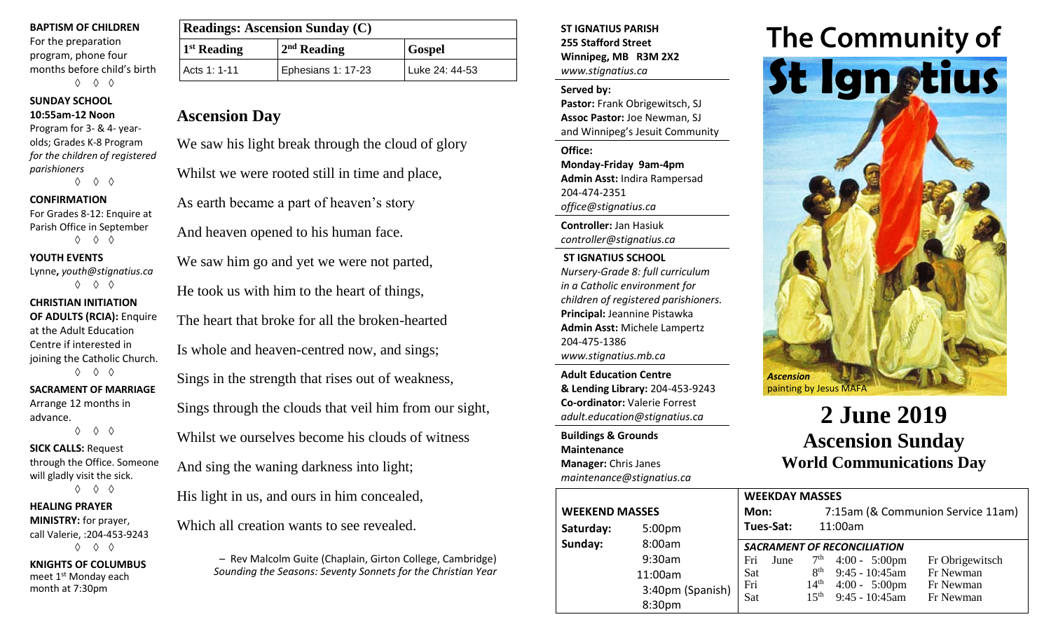#### **BAPTISM OF CHILDREN**

For the preparation program, phone four months before child's birth ◊ ◊ ◊

## **SUNDAY SCHOOL**

## **10:55am-12 Noon**

Program for 3- & 4- yearolds; Grades K-8 Program *for the children of registered parishioners*

◊ ◊ ◊

#### **CONFIRMATION**

For Grades 8-12: Enquire at Parish Office in September ◊ ◊ ◊

### **YOUTH EVENTS**

Lynne**,** *youth@stignatius.ca* ◊ ◊ ◊

## **CHRISTIAN INITIATION**

**OF ADULTS (RCIA):** Enquire at the Adult Education Centre if interested in joining the Catholic Church. ◊ ◊ ◊

## **SACRAMENT OF MARRIAGE**

Arrange 12 months in advance. ◊ ◊ ◊

# **SICK CALLS:** Request

through the Office. Someone will gladly visit the sick. ◊ ◊ ◊

#### **HEALING PRAYER**

**MINISTRY:** for prayer, call Valerie, :204-453-9243 ◊ ◊ ◊

**KNIGHTS OF COLUMBUS** meet 1<sup>st</sup> Monday each month at 7:30pm

| <b>Readings: Ascension Sunday (C)</b> |                    |                |  |
|---------------------------------------|--------------------|----------------|--|
| $1st$ Reading                         | $2nd$ Reading      | <b>Gospel</b>  |  |
| Acts 1: 1-11                          | Ephesians 1: 17-23 | Luke 24: 44-53 |  |

# **Ascension Day**

We saw his light break through the cloud of glory

Whilst we were rooted still in time and place,

As earth became a part of heaven's story

And heaven opened to his human face.

We saw him go and yet we were not parted,

He took us with him to the heart of things,

The heart that broke for all the broken-hearted Is whole and heaven-centred now, and sings;

Sings in the strength that rises out of weakness,

Sings through the clouds that veil him from our sight,

Whilst we ourselves become his clouds of witness

And sing the waning darkness into light;

His light in us, and ours in him concealed,

Which all creation wants to see revealed.

– Rev Malcolm Guite (Chaplain, Girton College, Cambridge) *Sounding the Seasons: Seventy Sonnets for the Christian Year* **ST IGNATIUS PARISH 255 Stafford Street Winnipeg, MB R3M 2X2** *www.stignatius.ca*

#### **Served by:**

**Pastor:** Frank Obrigewitsch, SJ **Assoc Pastor:** Joe Newman, SJ and Winnipeg's Jesuit Community

**Office: Monday-Friday 9am-4pm Admin Asst:** Indira Rampersad 204-474-2351 *office@stignatius.ca*

**Controller:** Jan Hasiuk *controller@stignatius.ca*

**ST IGNATIUS SCHOOL** *Nursery-Grade 8: full curriculum in a Catholic environment for children of registered parishioners.* **Principal:** Jeannine Pistawka **Admin Asst:** Michele Lampertz 204-475-1386 *www.stignatius.mb.ca*

**Adult Education Centre & Lending Library:** 204-453-9243 **Co-ordinator:** Valerie Forrest *adult.education@stignatius.ca*

**Buildings & Grounds Maintenance Manager:** Chris Janes *maintenance@stignatius.ca*

| <b>WEEKEND MASSES</b> | Mon:             |                  |
|-----------------------|------------------|------------------|
| Saturday:             | 5:00pm           | Tues-Sat:        |
| Sunday:               | 8:00am           | <b>SACRAMENT</b> |
|                       | 9:30am           | June<br>Fri      |
|                       | 11:00am          | Sat              |
|                       | 3:40pm (Spanish) | Fri<br>Sat       |
|                       | 8:30pm           |                  |



# **2 June 2019 Ascension Sunday World Communications Day**

|              | <b>WEEKDAY MASSES</b>              |      |                                   |                         |                 |  |  |
|--------------|------------------------------------|------|-----------------------------------|-------------------------|-----------------|--|--|
|              | Mon:                               |      | 7:15am (& Communion Service 11am) |                         |                 |  |  |
| วm           | Tues-Sat:                          |      |                                   | 11:00am                 |                 |  |  |
| ım           | <b>SACRAMENT OF RECONCILIATION</b> |      |                                   |                         |                 |  |  |
| ım           | Fri                                | June | 7 <sup>th</sup>                   | $4:00 - 5:00 \text{pm}$ | Fr Obrigewitsch |  |  |
| эm           | Sat                                |      | 8 <sup>th</sup>                   | 9:45 - 10:45am          | Fr Newman       |  |  |
| om (Spanish) | Fri                                |      | 14 <sup>th</sup>                  | $4:00 - 5:00 \text{pm}$ | Fr Newman       |  |  |
| ງm           | Sat                                |      | 15 <sup>th</sup>                  | 9:45 - 10:45am          | Fr Newman       |  |  |